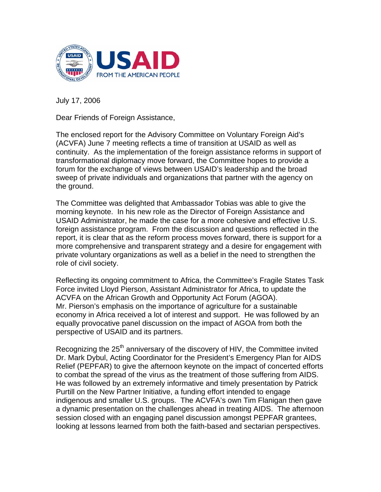

July 17, 2006

Dear Friends of Foreign Assistance,

The enclosed report for the Advisory Committee on Voluntary Foreign Aid's (ACVFA) June 7 meeting reflects a time of transition at USAID as well as continuity. As the implementation of the foreign assistance reforms in support of transformational diplomacy move forward, the Committee hopes to provide a forum for the exchange of views between USAID's leadership and the broad sweep of private individuals and organizations that partner with the agency on the ground.

The Committee was delighted that Ambassador Tobias was able to give the morning keynote. In his new role as the Director of Foreign Assistance and USAID Administrator, he made the case for a more cohesive and effective U.S. foreign assistance program. From the discussion and questions reflected in the report, it is clear that as the reform process moves forward, there is support for a more comprehensive and transparent strategy and a desire for engagement with private voluntary organizations as well as a belief in the need to strengthen the role of civil society.

Reflecting its ongoing commitment to Africa, the Committee's Fragile States Task Force invited Lloyd Pierson, Assistant Administrator for Africa, to update the ACVFA on the African Growth and Opportunity Act Forum (AGOA). Mr. Pierson's emphasis on the importance of agriculture for a sustainable economy in Africa received a lot of interest and support. He was followed by an equally provocative panel discussion on the impact of AGOA from both the perspective of USAID and its partners.

Recognizing the 25<sup>th</sup> anniversary of the discovery of HIV, the Committee invited Dr. Mark Dybul, Acting Coordinator for the President's Emergency Plan for AIDS Relief (PEPFAR) to give the afternoon keynote on the impact of concerted efforts to combat the spread of the virus as the treatment of those suffering from AIDS. He was followed by an extremely informative and timely presentation by Patrick Purtill on the New Partner Initiative, a funding effort intended to engage indigenous and smaller U.S. groups. The ACVFA's own Tim Flanigan then gave a dynamic presentation on the challenges ahead in treating AIDS. The afternoon session closed with an engaging panel discussion amongst PEPFAR grantees, looking at lessons learned from both the faith-based and sectarian perspectives.